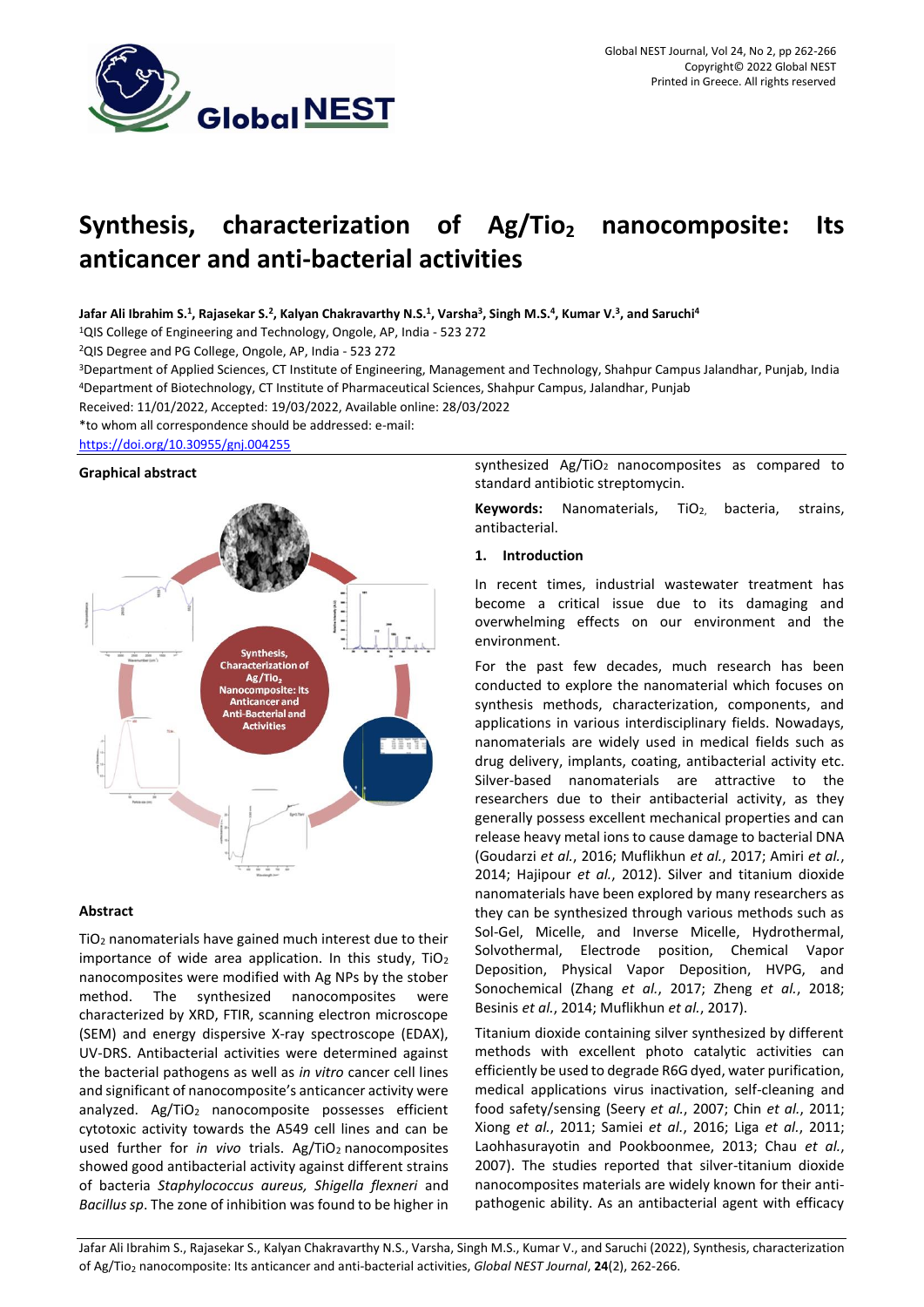

# **Synthesis, characterization of Ag/Tio<sup>2</sup> nanocomposite: Its anticancer and anti-bacterial activities**

# Jafar Ali Ibrahim S.<sup>1</sup>, Rajasekar S.<sup>2</sup>, Kalyan Chakravarthy N.S.<sup>1</sup>, Varsha<sup>3</sup>, Singh M.S.<sup>4</sup>, Kumar V.<sup>3</sup>, and Saruchi<sup>4</sup>

<sup>1</sup>QIS College of Engineering and Technology, Ongole, AP, India - 523 272

<sup>2</sup>QIS Degree and PG College, Ongole, AP, India - 523 272

<sup>3</sup>Department of Applied Sciences, CT Institute of Engineering, Management and Technology, Shahpur Campus Jalandhar, Punjab, India <sup>4</sup>Department of Biotechnology, CT Institute of Pharmaceutical Sciences, Shahpur Campus, Jalandhar, Punjab

Received: 11/01/2022, Accepted: 19/03/2022, Available online: 28/03/2022

\*to whom all correspondence should be addressed: e-mail:

## <https://doi.org/10.30955/gnj.004255>

### **Graphical abstract**



## **Abstract**

TiO<sup>2</sup> nanomaterials have gained much interest due to their importance of wide area application. In this study, TiO<sub>2</sub> nanocomposites were modified with Ag NPs by the stober method. The synthesized nanocomposites were characterized by XRD, FTIR, scanning electron microscope (SEM) and energy dispersive X-ray spectroscope (EDAX), UV-DRS. Antibacterial activities were determined against the bacterial pathogens as well as *in vitro* cancer cell lines and significant of nanocomposite's anticancer activity were analyzed. Ag/TiO<sub>2</sub> nanocomposite possesses efficient cytotoxic activity towards the A549 cell lines and can be used further for *in vivo* trials. Ag/TiO<sub>2</sub> nanocomposites showed good antibacterial activity against different strains of bacteria *Staphylococcus aureus, Shigella flexneri* and *Bacillus sp*. The zone of inhibition was found to be higher in

synthesized Ag/TiO<sub>2</sub> nanocomposites as compared to standard antibiotic streptomycin.

Keywords: Nanomaterials, TiO<sub>2,</sub> bacteria, strains, antibacterial.

### **1. Introduction**

In recent times, industrial wastewater treatment has become a critical issue due to its damaging and overwhelming effects on our environment and the environment.

For the past few decades, much research has been conducted to explore the nanomaterial which focuses on synthesis methods, characterization, components, and applications in various interdisciplinary fields. Nowadays, nanomaterials are widely used in medical fields such as drug delivery, implants, coating, antibacterial activity etc. Silver-based nanomaterials are attractive to the researchers due to their antibacterial activity, as they generally possess excellent mechanical properties and can release heavy metal ions to cause damage to bacterial DNA (Goudarzi *et al.*, 2016; Muflikhun *et al.*, 2017; Amiri *et al.*, 2014; Hajipour *et al.*, 2012). Silver and titanium dioxide nanomaterials have been explored by many researchers as they can be synthesized through various methods such as Sol-Gel, Micelle, and Inverse Micelle, Hydrothermal, Solvothermal, Electrode position, Chemical Vapor Deposition, Physical Vapor Deposition, HVPG, and Sonochemical (Zhang *et al.*, 2017; Zheng *et al.*, 2018; Besinis *et al.*, 2014; Muflikhun *et al.*, 2017).

Titanium dioxide containing silver synthesized by different methods with excellent photo catalytic activities can efficiently be used to degrade R6G dyed, water purification, medical applications virus inactivation, self-cleaning and food safety/sensing (Seery *et al.*, 2007; Chin *et al.*, 2011; Xiong *et al.*, 2011; Samiei *et al.*, 2016; Liga *et al.*, 2011; Laohhasurayotin and Pookboonmee, 2013; Chau *et al.*, 2007). The studies reported that silver-titanium dioxide nanocomposites materials are widely known for their antipathogenic ability. As an antibacterial agent with efficacy

Jafar Ali Ibrahim S., Rajasekar S., Kalyan Chakravarthy N.S., Varsha, Singh M.S., Kumar V., and Saruchi (2022), Synthesis, characterization of Ag/Tio<sup>2</sup> nanocomposite: Its anticancer and anti-bacterial activities, *Global NEST Journal*, **24**(2), 262-266.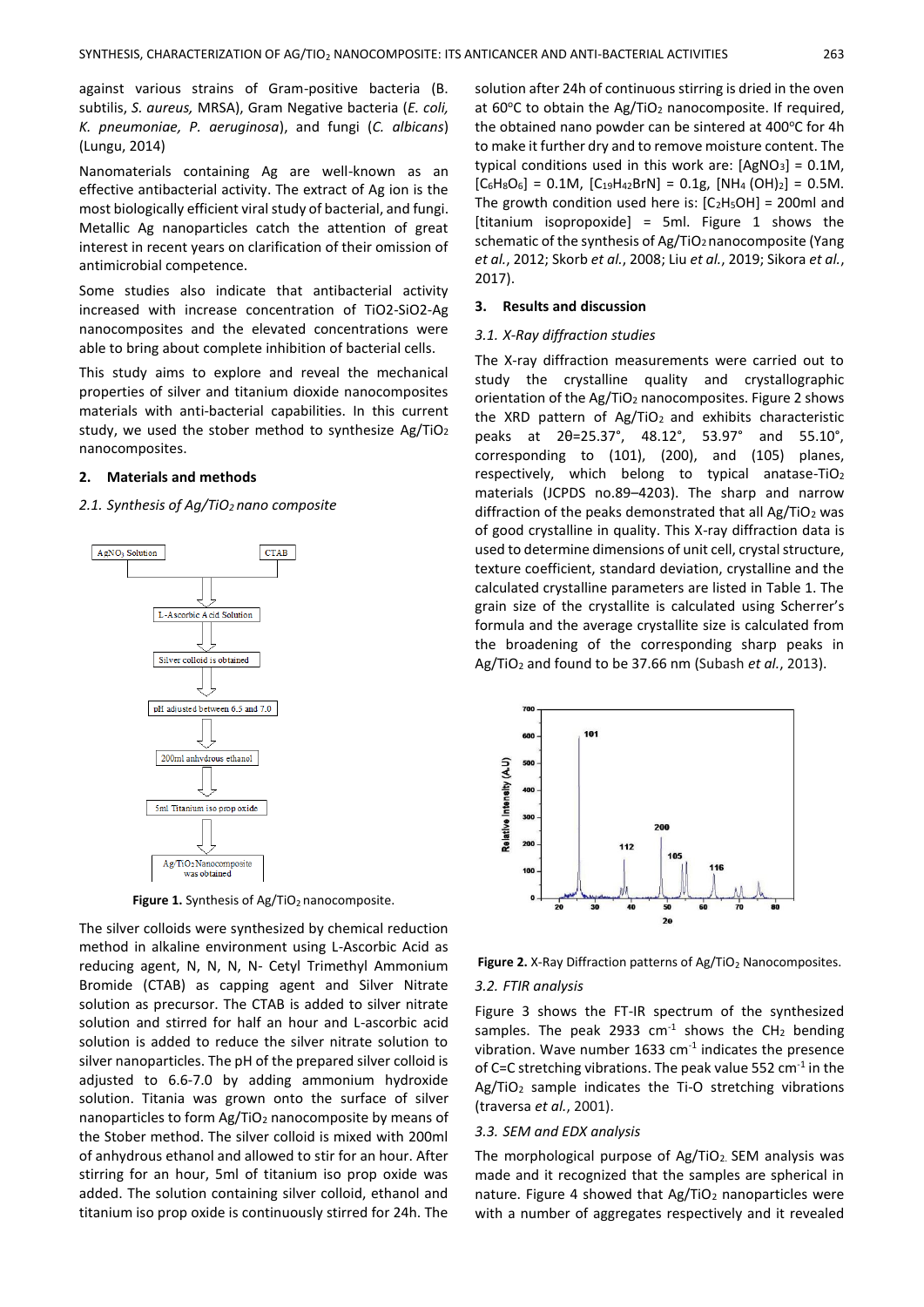against various strains of Gram-positive bacteria (B. subtilis, *S. aureus,* MRSA), Gram Negative bacteria (*E. coli, K. pneumoniae, P. aeruginosa*), and fungi (*C. albicans*) (Lungu, 2014)

Nanomaterials containing Ag are well-known as an effective antibacterial activity. The extract of Ag ion is the most biologically efficient viral study of bacterial, and fungi. Metallic Ag nanoparticles catch the attention of great interest in recent years on clarification of their omission of antimicrobial competence.

Some studies also indicate that antibacterial activity increased with increase concentration of TiO2-SiO2-Ag nanocomposites and the elevated concentrations were able to bring about complete inhibition of bacterial cells.

This study aims to explore and reveal the mechanical properties of silver and titanium dioxide nanocomposites materials with anti-bacterial capabilities. In this current study, we used the stober method to synthesize  $Ag/TiO<sub>2</sub>$ nanocomposites.

#### **2. Materials and methods**

## *2.1. Synthesis of Ag/TiO2 nano composite*



Figure 1. Synthesis of Ag/TiO<sub>2</sub> nanocomposite.

The silver colloids were synthesized by chemical reduction method in alkaline environment using L-Ascorbic Acid as reducing agent, N, N, N, N- Cetyl Trimethyl Ammonium Bromide (CTAB) as capping agent and Silver Nitrate solution as precursor. The CTAB is added to silver nitrate solution and stirred for half an hour and L-ascorbic acid solution is added to reduce the silver nitrate solution to silver nanoparticles. The pH of the prepared silver colloid is adjusted to 6.6-7.0 by adding ammonium hydroxide solution. Titania was grown onto the surface of silver nanoparticles to form Ag/TiO<sub>2</sub> nanocomposite by means of the Stober method. The silver colloid is mixed with 200ml of anhydrous ethanol and allowed to stir for an hour. After stirring for an hour, 5ml of titanium iso prop oxide was added. The solution containing silver colloid, ethanol and titanium iso prop oxide is continuously stirred for 24h. The

solution after 24h of continuous stirring is dried in the oven at  $60^{\circ}$ C to obtain the Ag/TiO<sub>2</sub> nanocomposite. If required, the obtained nano powder can be sintered at 400°C for 4h to make it further dry and to remove moisture content. The typical conditions used in this work are:  $[AgNO_3] = 0.1M$ ,  $[C_6H_8O_6] = 0.1M$ ,  $[C_{19}H_{42}BrN] = 0.1g$ ,  $[NH_4(OH)_2] = 0.5M$ . The growth condition used here is:  $[C_2H_5OH] = 200$ ml and [titanium isopropoxide] = 5ml. Figure 1 shows the schematic of the synthesis of Ag/TiO<sub>2</sub> nanocomposite (Yang *et al.*, 2012; Skorb *et al.*, 2008; Liu *et al.*, 2019; Sikora *et al.*, 2017).

#### **3. Results and discussion**

#### *3.1. X-Ray diffraction studies*

The X-ray diffraction measurements were carried out to study the crystalline quality and crystallographic orientation of the Ag/TiO<sub>2</sub> nanocomposites. Figure 2 shows the XRD pattern of  $Ag/TiO<sub>2</sub>$  and exhibits characteristic peaks at 2θ=25.37°, 48.12°, 53.97° and 55.10°, corresponding to (101), (200), and (105) planes, respectively, which belong to typical anatase-TiO<sup>2</sup> materials (JCPDS no.89–4203). The sharp and narrow diffraction of the peaks demonstrated that all  $Ag/TiO<sub>2</sub>$  was of good crystalline in quality. This X-ray diffraction data is used to determine dimensions of unit cell, crystal structure, texture coefficient, standard deviation, crystalline and the calculated crystalline parameters are listed in Table 1. The grain size of the crystallite is calculated using Scherrer's formula and the average crystallite size is calculated from the broadening of the corresponding sharp peaks in Ag/TiO<sup>2</sup> and found to be 37.66 nm (Subash *et al.*, 2013).



**Figure 2.** X-Ray Diffraction patterns of Ag/TiO<sub>2</sub> Nanocomposites.

# *3.2. FTIR analysis*

Figure 3 shows the FT-IR spectrum of the synthesized samples. The peak 2933  $cm^{-1}$  shows the CH<sub>2</sub> bending vibration. Wave number 1633  $cm<sup>-1</sup>$  indicates the presence of C=C stretching vibrations. The peak value 552 cm<sup>-1</sup> in the Ag/TiO<sub>2</sub> sample indicates the Ti-O stretching vibrations (traversa *et al.*, 2001).

#### *3.3. SEM and EDX analysis*

The morphological purpose of Ag/TiO<sub>2</sub>. SEM analysis was made and it recognized that the samples are spherical in nature. Figure 4 showed that Ag/TiO<sub>2</sub> nanoparticles were with a number of aggregates respectively and it revealed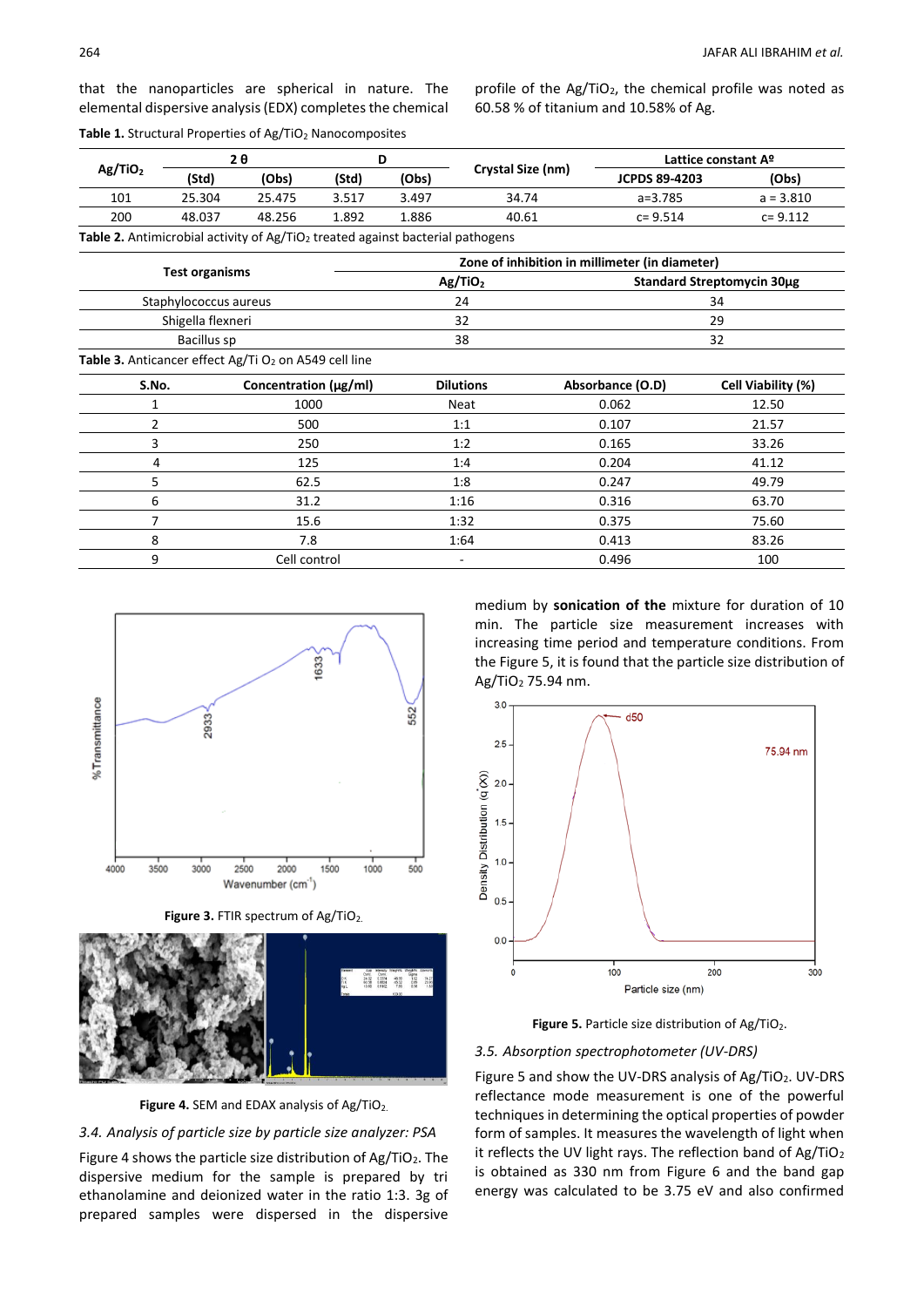that the nanoparticles are spherical in nature. The elemental dispersive analysis (EDX) completes the chemical profile of the Ag/TiO2, the chemical profile was noted as 60.58 % of titanium and 10.58% of Ag.

|  |  |  | Table 1. Structural Properties of Ag/TiO <sub>2</sub> Nanocomposites |
|--|--|--|----------------------------------------------------------------------|
|--|--|--|----------------------------------------------------------------------|

| Ag/TiO <sub>2</sub> |        | 2 A    |       |       |                   | Lattice constant A <sup>o</sup> |             |
|---------------------|--------|--------|-------|-------|-------------------|---------------------------------|-------------|
|                     | (Std)  | (Obs)  | (Std) | (Obs) | Crystal Size (nm) | <b>JCPDS 89-4203</b>            | (Obs)       |
| 101                 | 25.304 | 25.475 | 3.517 | 3.497 | 34.74             | $a = 3.785$                     | $a = 3.810$ |
| 200                 | 48.037 | 48.256 | 1.892 | 1.886 | 40.61             | $c = 9.514$                     | $c = 9.112$ |
|                     |        |        |       |       |                   |                                 |             |

**Table 2.** Antimicrobial activity of Ag/TiO<sub>2</sub> treated against bacterial pathogens

|                       |                                                                   | Zone of inhibition in millimeter (in diameter) |                            |                    |  |  |
|-----------------------|-------------------------------------------------------------------|------------------------------------------------|----------------------------|--------------------|--|--|
| <b>Test organisms</b> |                                                                   | Ag/TiO <sub>2</sub>                            | Standard Streptomycin 30µg |                    |  |  |
|                       | Staphylococcus aureus                                             | 24                                             | 34                         |                    |  |  |
|                       | Shigella flexneri                                                 | 32                                             | 29                         |                    |  |  |
|                       | Bacillus sp                                                       | 38                                             | 32                         |                    |  |  |
|                       | Table 3. Anticancer effect Ag/Ti O <sub>2</sub> on A549 cell line |                                                |                            |                    |  |  |
| S.No.                 | Concentration (µg/ml)                                             | <b>Dilutions</b>                               | Absorbance (O.D)           | Cell Viability (%) |  |  |
|                       | 1000                                                              | Neat                                           | 0.062                      | 12.50              |  |  |
| 2                     | 500                                                               | 1:1                                            | 0.107                      | 21.57              |  |  |
| 3                     | 250                                                               | 1:2                                            | 0.165                      | 33.26              |  |  |
| 4                     | 125                                                               | 1:4                                            | 0.204                      | 41.12              |  |  |
| 5                     | 62.5                                                              | 1:8                                            | 0.247                      | 49.79              |  |  |
| 6                     | 31.2                                                              | 1:16                                           | 0.316                      | 63.70              |  |  |
| 7                     | 15.6                                                              | 1:32                                           | 0.375                      | 75.60              |  |  |
| 8                     | 7.8                                                               | 1:64                                           | 0.413                      | 83.26              |  |  |
| 9                     | Cell control                                                      | ۰                                              | 0.496                      | 100                |  |  |



**Figure 3. FTIR spectrum of Ag/TiO2.** 



Figure 4. SEM and EDAX analysis of Ag/TiO<sub>2.</sub>

## *3.4. Analysis of particle size by particle size analyzer: PSA*

Figure 4 shows the particle size distribution of  $Ag/TiO<sub>2</sub>$ . The dispersive medium for the sample is prepared by tri ethanolamine and deionized water in the ratio 1:3. 3g of prepared samples were dispersed in the dispersive

medium by **sonication of the** mixture for duration of 10 min. The particle size measurement increases with increasing time period and temperature conditions. From the Figure 5, it is found that the particle size distribution of Ag/TiO<sup>2</sup> 75.94 nm.





## *3.5. Absorption spectrophotometer (UV-DRS)*

Figure 5 and show the UV-DRS analysis of Ag/TiO2. UV-DRS reflectance mode measurement is one of the powerful techniques in determining the optical properties of powder form of samples. It measures the wavelength of light when it reflects the UV light rays. The reflection band of Ag/TiO<sub>2</sub> is obtained as 330 nm from Figure 6 and the band gap energy was calculated to be 3.75 eV and also confirmed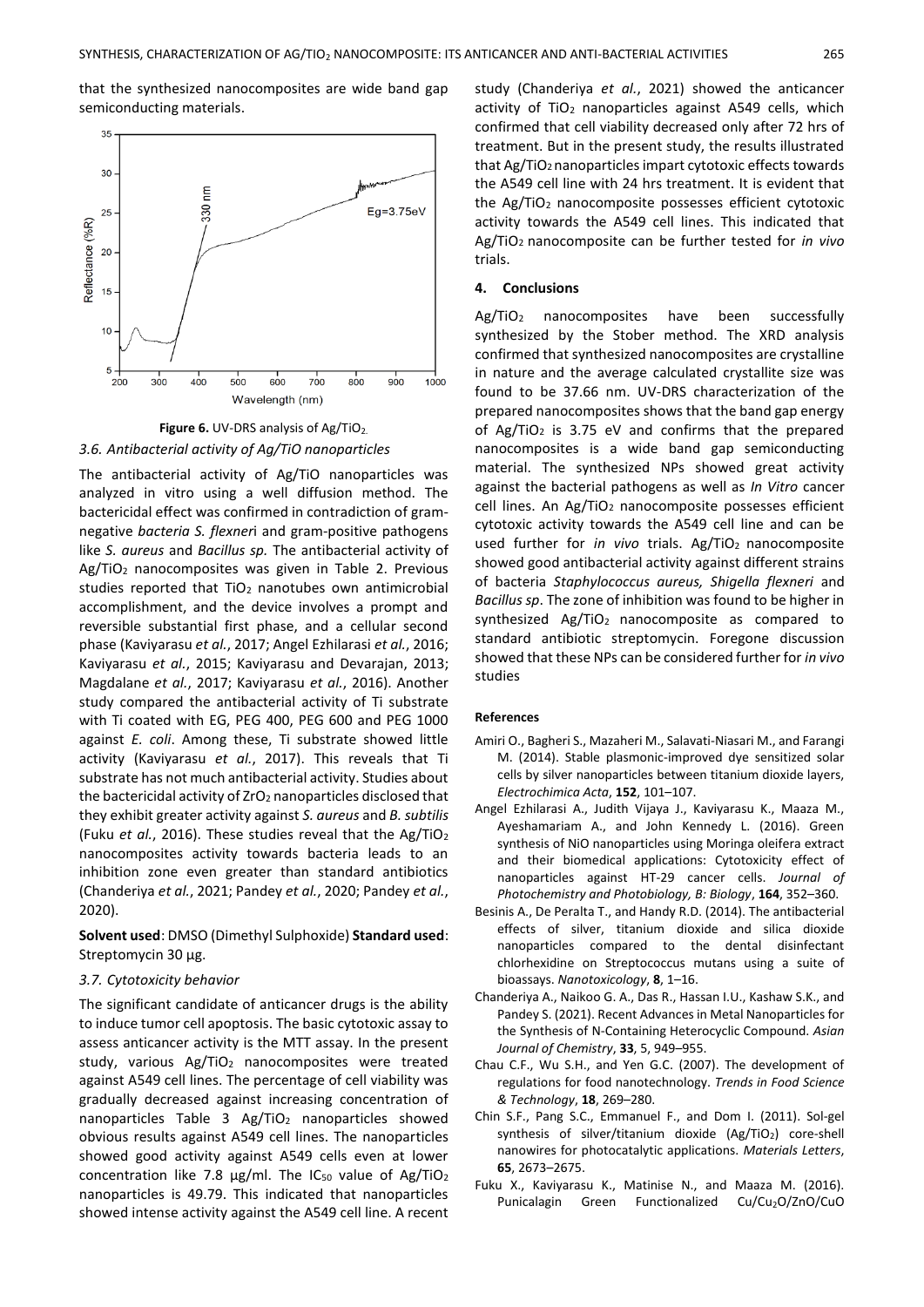that the synthesized nanocomposites are wide band gap semiconducting materials.



**Figure 6.** UV-DRS analysis of Ag/TiO<sub>2.</sub> *3.6. Antibacterial activity of Ag/TiO nanoparticles*

The antibacterial activity of Ag/TiO nanoparticles was analyzed in vitro using a well diffusion method. The bactericidal effect was confirmed in contradiction of gramnegative *bacteria S. flexner*i and gram-positive pathogens like *S. aureus* and *Bacillus sp.* The antibacterial activity of Ag/TiO<sub>2</sub> nanocomposites was given in Table 2. Previous studies reported that TiO<sub>2</sub> nanotubes own antimicrobial accomplishment, and the device involves a prompt and reversible substantial first phase, and a cellular second phase (Kaviyarasu *et al.*, 2017; Angel Ezhilarasi *et al.*, 2016; Kaviyarasu *et al.*, 2015; Kaviyarasu and Devarajan, 2013; Magdalane *et al.*, 2017; Kaviyarasu *et al.*, 2016). Another study compared the antibacterial activity of Ti substrate with Ti coated with EG, PEG 400, PEG 600 and PEG 1000 against *E. coli*. Among these, Ti substrate showed little activity (Kaviyarasu *et al.*, 2017). This reveals that Ti substrate has not much antibacterial activity. Studies about the bactericidal activity of  $ZrO<sub>2</sub>$  nanoparticles disclosed that they exhibit greater activity against *S. aureus* and *B. subtilis* (Fuku *et al.*, 2016). These studies reveal that the Ag/TiO<sup>2</sup> nanocomposites activity towards bacteria leads to an inhibition zone even greater than standard antibiotics (Chanderiya *et al.*, 2021; Pandey *et al.*, 2020; Pandey *et al.*, 2020).

**Solvent used**: DMSO (Dimethyl Sulphoxide) **Standard used**: Streptomycin 30 µg.

## *3.7. Cytotoxicity behavior*

The significant candidate of anticancer drugs is the ability to induce tumor cell apoptosis. The basic cytotoxic assay to assess anticancer activity is the MTT assay. In the present study, various Ag/TiO<sub>2</sub> nanocomposites were treated against A549 cell lines. The percentage of cell viability was gradually decreased against increasing concentration of nanoparticles Table 3 Ag/TiO<sub>2</sub> nanoparticles showed obvious results against A549 cell lines. The nanoparticles showed good activity against A549 cells even at lower concentration like 7.8  $\mu$ g/ml. The IC<sub>50</sub> value of Ag/TiO<sub>2</sub> nanoparticles is 49.79. This indicated that nanoparticles showed intense activity against the A549 cell line. A recent

study (Chanderiya *et al.*, 2021) showed the anticancer activity of  $TiO<sub>2</sub>$  nanoparticles against A549 cells, which confirmed that cell viability decreased only after 72 hrs of treatment. But in the present study, the results illustrated that Ag/TiO2nanoparticles impart cytotoxic effects towards the A549 cell line with 24 hrs treatment. It is evident that the Ag/TiO<sup>2</sup> nanocomposite possesses efficient cytotoxic activity towards the A549 cell lines. This indicated that Ag/TiO2 nanocomposite can be further tested for *in vivo* trials.

## **4. Conclusions**

Ag/TiO<sup>2</sup> nanocomposites have been successfully synthesized by the Stober method. The XRD analysis confirmed that synthesized nanocomposites are crystalline in nature and the average calculated crystallite size was found to be 37.66 nm. UV-DRS characterization of the prepared nanocomposites shows that the band gap energy of  $Ag/TiO<sub>2</sub>$  is 3.75 eV and confirms that the prepared nanocomposites is a wide band gap semiconducting material. The synthesized NPs showed great activity against the bacterial pathogens as well as *In Vitro* cancer cell lines. An Ag/TiO<sub>2</sub> nanocomposite possesses efficient cytotoxic activity towards the A549 cell line and can be used further for *in vivo* trials. Ag/TiO<sub>2</sub> nanocomposite showed good antibacterial activity against different strains of bacteria *Staphylococcus aureus, Shigella flexneri* and *Bacillus sp*. The zone of inhibition was found to be higher in synthesized Ag/TiO<sub>2</sub> nanocomposite as compared to standard antibiotic streptomycin. Foregone discussion showed that these NPs can be considered further for *in vivo* studies

#### **References**

- Amiri O., Bagheri S., Mazaheri M., Salavati-Niasari M., and Farangi M. (2014). Stable plasmonic-improved dye sensitized solar cells by silver nanoparticles between titanium dioxide layers, *Electrochimica Acta*, **152**, 101–107.
- Angel Ezhilarasi A., Judith Vijaya J., Kaviyarasu K., Maaza M., Ayeshamariam A., and John Kennedy L. (2016). Green synthesis of NiO nanoparticles using Moringa oleifera extract and their biomedical applications: Cytotoxicity effect of nanoparticles against HT-29 cancer cells. *[Journal of](https://cassi.cas.org/publication.jsp?P=eCQtRPJo9AQyz133K_ll3zLPXfcr-WXfO_CPgCRpKVKWs-rBpLsrC5CvkqlZimQeCMYDkaiGBjQyz133K_ll30TzFRevlijBy27qKeV6UIwyz133K_ll31zJ-Ta-iIaSSzSe9hMID5g)  [Photochemistry and Photobiology, B: Biology](https://cassi.cas.org/publication.jsp?P=eCQtRPJo9AQyz133K_ll3zLPXfcr-WXfO_CPgCRpKVKWs-rBpLsrC5CvkqlZimQeCMYDkaiGBjQyz133K_ll30TzFRevlijBy27qKeV6UIwyz133K_ll31zJ-Ta-iIaSSzSe9hMID5g)*, **164**, 352–360.
- Besinis A., De Peralta T., and Handy R.D. (2014). The antibacterial effects of silver, titanium dioxide and silica dioxide nanoparticles compared to the dental disinfectant chlorhexidine on Streptococcus mutans using a suite of bioassays. *Nanotoxicology*, **8**, 1–16.
- Chanderiya A., Naikoo G. A., Das R., Hassan I.U., Kashaw S.K., and Pandey S. (2021). Recent Advances in Metal Nanoparticles for the Synthesis of N-Containing Heterocyclic Compound. *Asian Journal of Chemistry*, **33**, 5, 949–955.
- Chau C.F., Wu S.H., and Yen G.C. (2007). The development of regulations for food nanotechnology. *Trends in Food Science & Technology*, **18**, 269–280.
- Chin S.F., Pang S.C., Emmanuel F., and Dom I. (2011). Sol-gel synthesis of silver/titanium dioxide  $(Ag/TiO<sub>2</sub>)$  core-shell nanowires for photocatalytic applications. *Materials Letters*, **65**, 2673–2675.
- Fuku X., Kaviyarasu K., Matinise N., and Maaza M. (2016). Punicalagin Green Functionalized Cu/Cu<sub>2</sub>O/ZnO/CuO